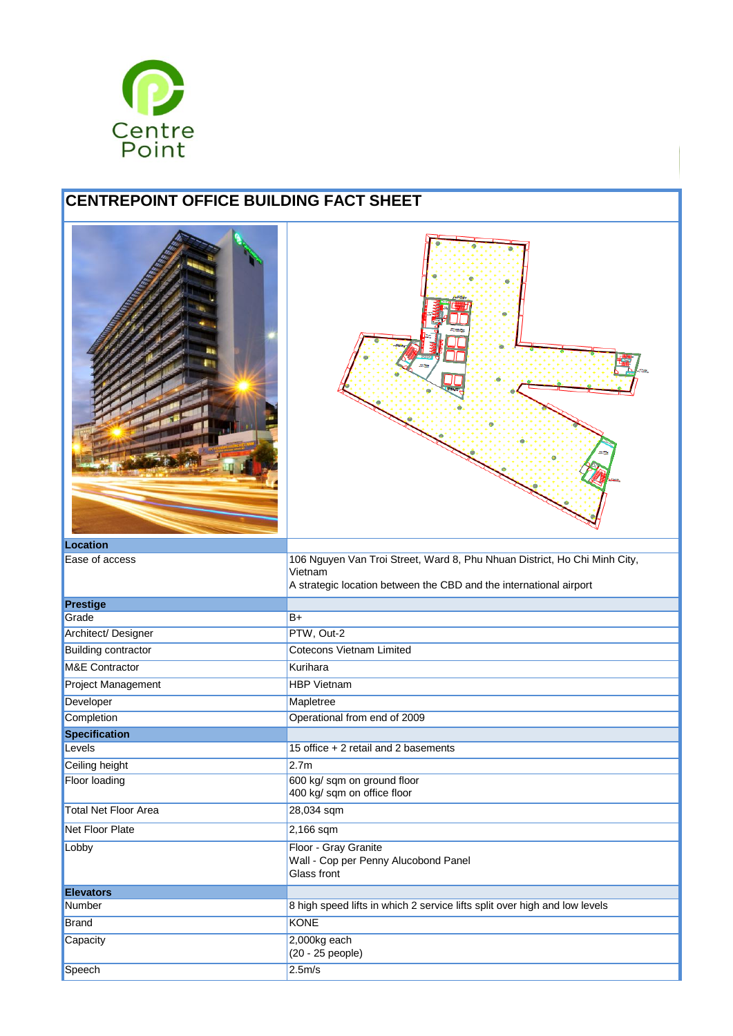

## **CENTREPOINT OFFICE BUILDING FACT SHEET**

| <b>Location</b>                                                                                                                                                              |
|------------------------------------------------------------------------------------------------------------------------------------------------------------------------------|
|                                                                                                                                                                              |
| 106 Nguyen Van Troi Street, Ward 8, Phu Nhuan District, Ho Chi Minh City,<br>Ease of access<br>Vietnam<br>A strategic location between the CBD and the international airport |
| <b>Prestige</b>                                                                                                                                                              |
| Grade<br>$B+$                                                                                                                                                                |
| PTW, Out-2<br>Architect/ Designer                                                                                                                                            |
| <b>Cotecons Vietnam Limited</b><br><b>Building contractor</b>                                                                                                                |
| <b>M&amp;E Contractor</b><br>Kurihara                                                                                                                                        |
| <b>HBP Vietnam</b><br><b>Project Management</b>                                                                                                                              |
| Developer<br>Mapletree                                                                                                                                                       |
| Completion<br>Operational from end of 2009                                                                                                                                   |
| <b>Specification</b>                                                                                                                                                         |
| 15 office + 2 retail and 2 basements<br>Levels                                                                                                                               |
| 2.7 <sub>m</sub><br>Ceiling height                                                                                                                                           |
| 600 kg/ sqm on ground floor<br><b>Floor loading</b><br>400 kg/ sqm on office floor                                                                                           |
| <b>Total Net Floor Area</b><br>28,034 sqm                                                                                                                                    |
| <b>Net Floor Plate</b><br>2,166 sqm                                                                                                                                          |
| Floor - Gray Granite<br>Lobby<br>Wall - Cop per Penny Alucobond Panel<br>Glass front                                                                                         |
| <b>Elevators</b>                                                                                                                                                             |
| 8 high speed lifts in which 2 service lifts split over high and low levels<br>Number                                                                                         |
| <b>KONE</b><br><b>Brand</b>                                                                                                                                                  |
| 2,000kg each<br>Capacity<br>(20 - 25 people)                                                                                                                                 |
| 2.5m/s<br>Speech                                                                                                                                                             |